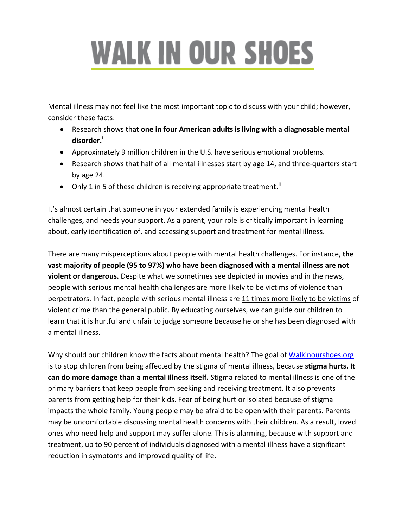## **WALK IN OUR SHOES**

Mental illness may not feel like the most important topic to discuss with your child; however, consider these facts:

- Research shows that **one in four American adults is living with a diagnosable mental disorder.[i](#page-1-0)**
- Approximately 9 million children in the U.S. have serious emotional problems.
- Research shows that half of all mental illnesses start by age 14, and three-quarters start by age 24.
- Only 1 in 5 of these children is receiving appropriate treatment.<sup>[ii](#page-1-1)</sup>

It's almost certain that someone in your extended family is experiencing mental health challenges, and needs your support. As a parent, your role is critically important in learning about, early identification of, and accessing support and treatment for mental illness.

There are many misperceptions about people with mental health challenges. For instance, **the vast majority of people (95 to 97%) who have been diagnosed with a mental illness are not violent or dangerous.** Despite what we sometimes see depicted in movies and in the news, people with serious mental health challenges are more likely to be victims of violence than perpetrators. In fact, people with serious mental illness are 11 times more likely to be victims of violent crime than the general public. By educating ourselves, we can guide our children to learn that it is hurtful and unfair to judge someone because he or she has been diagnosed with a mental illness.

Why should our children know the facts about mental health? The goal of [Walkinourshoes.org](http://www.walkinourshoes.org/) is to stop children from being affected by the stigma of mental illness, because **stigma hurts. It can do more damage than a mental illness itself.** Stigma related to mental illness is one of the primary barriers that keep people from seeking and receiving treatment. It also prevents parents from getting help for their kids. Fear of being hurt or isolated because of stigma impacts the whole family. Young people may be afraid to be open with their parents. Parents may be uncomfortable discussing mental health concerns with their children. As a result, loved ones who need help and support may suffer alone. This is alarming, because with support and treatment, up to 90 percent of individuals diagnosed with a mental illness have a significant reduction in symptoms and improved quality of life.